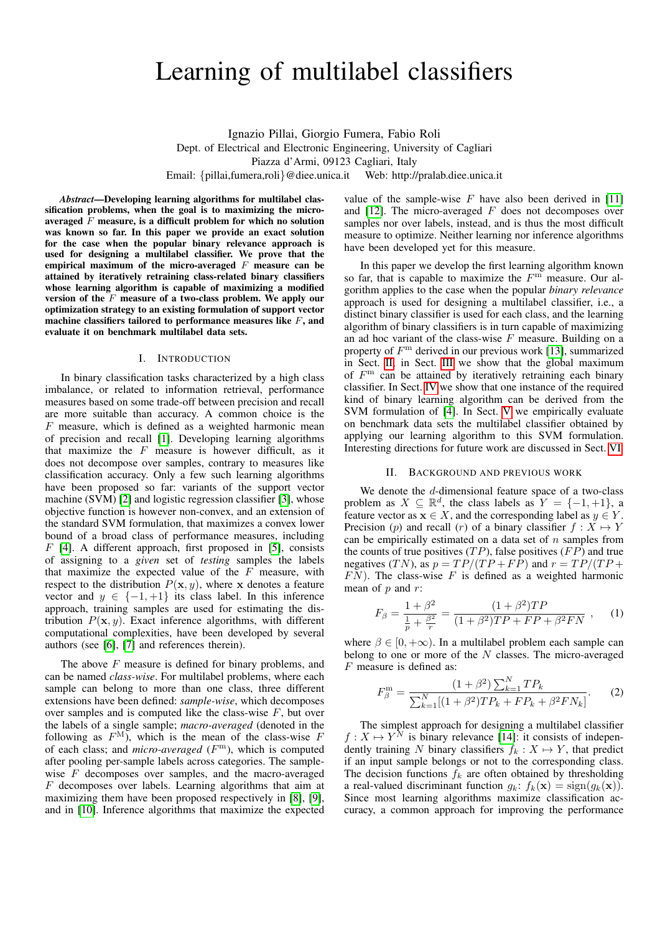# Learning of multilabel classifiers

Ignazio Pillai, Giorgio Fumera, Fabio Roli Dept. of Electrical and Electronic Engineering, University of Cagliari Piazza d'Armi, 09123 Cagliari, Italy Email: {pillai,fumera,roli}@diee.unica.it Web: http://pralab.diee.unica.it

*Abstract*—Developing learning algorithms for multilabel classification problems, when the goal is to maximizing the microaveraged  $F$  measure, is a difficult problem for which no solution was known so far. In this paper we provide an exact solution for the case when the popular binary relevance approach is used for designing a multilabel classifier. We prove that the empirical maximum of the micro-averaged  $F$  measure can be attained by iteratively retraining class-related binary classifiers whose learning algorithm is capable of maximizing a modified version of the  $F$  measure of a two-class problem. We apply our optimization strategy to an existing formulation of support vector machine classifiers tailored to performance measures like  $F$ , and evaluate it on benchmark multilabel data sets.

### I. INTRODUCTION

In binary classification tasks characterized by a high class imbalance, or related to information retrieval, performance measures based on some trade-off between precision and recall are more suitable than accuracy. A common choice is the F measure, which is defined as a weighted harmonic mean of precision and recall [\[1\]](#page-4-0). Developing learning algorithms that maximize the  $F$  measure is however difficult, as it does not decompose over samples, contrary to measures like classification accuracy. Only a few such learning algorithms have been proposed so far: variants of the support vector machine (SVM) [\[2\]](#page-4-1) and logistic regression classifier [\[3\]](#page-4-2), whose objective function is however non-convex, and an extension of the standard SVM formulation, that maximizes a convex lower bound of a broad class of performance measures, including  $F$  [\[4\]](#page-4-3). A different approach, first proposed in [\[5\]](#page-4-4), consists of assigning to a *given* set of *testing* samples the labels that maximize the expected value of the  $F$  measure, with respect to the distribution  $P(x, y)$ , where x denotes a feature vector and  $y \in \{-1, +1\}$  its class label. In this inference approach, training samples are used for estimating the distribution  $P(\mathbf{x}, y)$ . Exact inference algorithms, with different computational complexities, have been developed by several authors (see [\[6\]](#page-4-5), [\[7\]](#page-4-6) and references therein).

The above  $F$  measure is defined for binary problems, and can be named *class-wise*. For multilabel problems, where each sample can belong to more than one class, three different extensions have been defined: *sample-wise*, which decomposes over samples and is computed like the class-wise  $F$ , but over the labels of a single sample; *macro-averaged* (denoted in the following as  $F^{\text{M}}$ , which is the mean of the class-wise F of each class; and *micro-averaged* (F <sup>m</sup>), which is computed after pooling per-sample labels across categories. The samplewise F decomposes over samples, and the macro-averaged F decomposes over labels. Learning algorithms that aim at maximizing them have been proposed respectively in [\[8\]](#page-4-7), [\[9\]](#page-4-8), and in [\[10\]](#page-4-9). Inference algorithms that maximize the expected value of the sample-wise  $F$  have also been derived in [\[11\]](#page-4-10) and  $[12]$ . The micro-averaged  $F$  does not decomposes over samples nor over labels, instead, and is thus the most difficult measure to optimize. Neither learning nor inference algorithms have been developed yet for this measure.

In this paper we develop the first learning algorithm known so far, that is capable to maximize the  $F<sup>m</sup>$  measure. Our algorithm applies to the case when the popular *binary relevance* approach is used for designing a multilabel classifier, i.e., a distinct binary classifier is used for each class, and the learning algorithm of binary classifiers is in turn capable of maximizing an ad hoc variant of the class-wise  $F$  measure. Building on a property of  $F<sup>m</sup>$  derived in our previous work [\[13\]](#page-4-12), summarized in Sect. [II,](#page-0-0) in Sect. [III](#page-1-0) we show that the global maximum of  $F<sup>m</sup>$  can be attained by iteratively retraining each binary classifier. In Sect. [IV](#page-2-0) we show that one instance of the required kind of binary learning algorithm can be derived from the SVM formulation of [\[4\]](#page-4-3). In Sect. [V](#page-2-1) we empirically evaluate on benchmark data sets the multilabel classifier obtained by applying our learning algorithm to this SVM formulation. Interesting directions for future work are discussed in Sect. [VI.](#page-3-0)

#### II. BACKGROUND AND PREVIOUS WORK

<span id="page-0-0"></span>We denote the  $d$ -dimensional feature space of a two-class problem as  $X \subseteq \mathbb{R}^d$ , the class labels as  $Y = \{-1, +1\}$ , a feature vector as  $\mathbf{x} \in X$ , and the corresponding label as  $y \in Y$ . Precision (p) and recall (r) of a binary classifier  $f : X \mapsto Y$ can be empirically estimated on a data set of  $n$  samples from the counts of true positives  $(TP)$ , false positives  $(FP)$  and true negatives (TN), as  $p = TP/(TP + FP)$  and  $r = TP/(TP +$  $\overline{FN}$ ). The class-wise F is defined as a weighted harmonic mean of  $p$  and  $r$ :

<span id="page-0-2"></span>
$$
F_{\beta} = \frac{1 + \beta^2}{\frac{1}{p} + \frac{\beta^2}{r}} = \frac{(1 + \beta^2)TP}{(1 + \beta^2)TP + FP + \beta^2 FN}, \quad (1)
$$

where  $\beta \in [0, +\infty)$ . In a multilabel problem each sample can belong to one or more of the  $N$  classes. The micro-averaged  $F$  measure is defined as:

<span id="page-0-1"></span>
$$
F_{\beta}^{\mathbf{m}} = \frac{(1+\beta^2)\sum_{k=1}^{N}TP_k}{\sum_{k=1}^{N}[(1+\beta^2)TP_k + FP_k + \beta^2FN_k]}.
$$
 (2)

The simplest approach for designing a multilabel classifier  $f: X \mapsto Y^N$  is binary relevance [\[14\]](#page-4-13): it consists of independently training N binary classifiers  $f_k : X \mapsto Y$ , that predict if an input sample belongs or not to the corresponding class. The decision functions  $f_k$  are often obtained by thresholding a real-valued discriminant function  $g_k$ :  $f_k(\mathbf{x}) = \text{sign}(g_k(\mathbf{x}))$ . Since most learning algorithms maximize classification accuracy, a common approach for improving the performance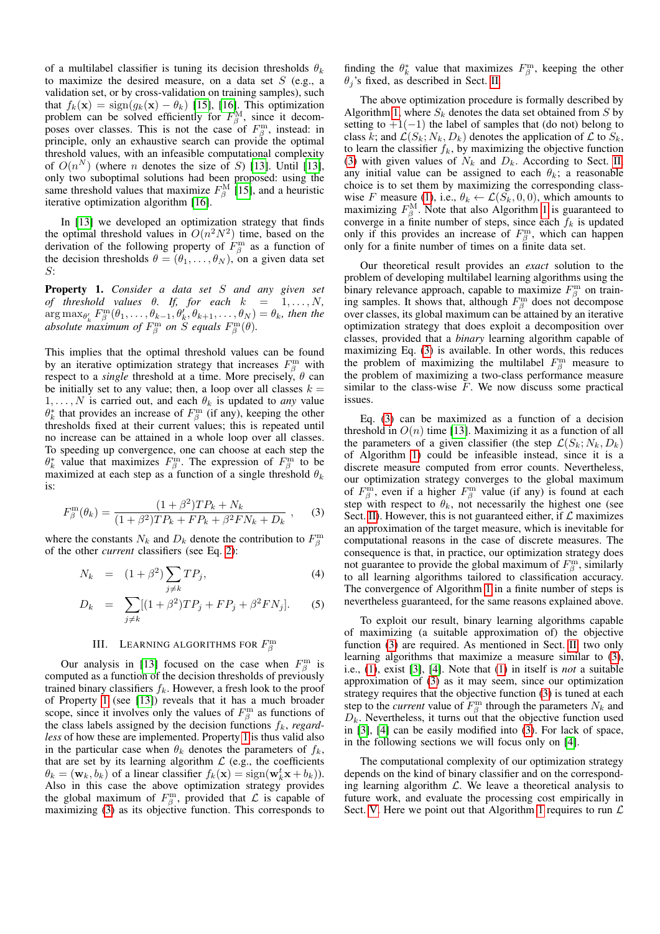of a multilabel classifier is tuning its decision thresholds  $\theta_k$ to maximize the desired measure, on a data set  $S$  (e.g., a validation set, or by cross-validation on training samples), such that  $f_k(\mathbf{x}) = \text{sign}(g_k(\mathbf{x}) - \theta_k)$  [\[15\]](#page-4-14), [\[16\]](#page-4-15). This optimization problem can be solved efficiently for  $F^{\text{M}}_{\beta}$ , since it decomposes over classes. This is not the case of  $F^{\rm m}_{\beta}$ , instead: in principle, only an exhaustive search can provide the optimal threshold values, with an infeasible computational complexity of  $O(n^N)$  (where *n* denotes the size of *S*) [\[13\]](#page-4-12). Until [13], only two suboptimal solutions had been proposed: using the same threshold values that maximize  $F^{\text{M}}_{\beta}$  [\[15\]](#page-4-14), and a heuristic iterative optimization algorithm [\[16\]](#page-4-15).

In [\[13\]](#page-4-12) we developed an optimization strategy that finds the optimal threshold values in  $O(n^2N^2)$  time, based on the derivation of the following property of  $F_\beta^{\text{m}}$  as a function of the decision thresholds  $\theta = (\theta_1, \dots, \theta_N)$ , on a given data set S:

<span id="page-1-1"></span>Property 1. *Consider a data set* S *and any given set of threshold values*  $\theta$ *. If, for each*  $k = 1, \ldots, N$ ,  $\arg \max_{\theta'_k} F^{\text{m}}_{\beta}(\theta_1, \ldots, \theta_{k-1}, \theta'_k, \theta_{k+1}, \ldots, \theta_N) = \theta_k$ , then the absolute maximum of  $F^{\rm m}_\beta$  on  $\widetilde{S}$  equals  $F^{\rm m}_\beta(\theta)$ .

This implies that the optimal threshold values can be found by an iterative optimization strategy that increases  $F_\beta^{\text{m}}$  with respect to a *single* threshold at a time. More precisely,  $\theta$  can be initially set to any value; then, a loop over all classes  $k =$  $1, \ldots, N$  is carried out, and each  $\theta_k$  is updated to *any* value  $\theta_k^*$  that provides an increase of  $F_\beta^{\text{m}}$  (if any), keeping the other thresholds fixed at their current values; this is repeated until no increase can be attained in a whole loop over all classes. To speeding up convergence, one can choose at each step the  $\theta_k^*$  value that maximizes  $F_\beta^m$ . The expression of  $F_\beta^m$  to be maximized at each step as a function of a single threshold  $\theta_k$ is:

<span id="page-1-2"></span>
$$
F_{\beta}^{\rm m}(\theta_k) = \frac{(1+\beta^2)TP_k + N_k}{(1+\beta^2)TP_k + FP_k + \beta^2 FN_k + D_k} ,\qquad (3)
$$

where the constants  $N_k$  and  $D_k$  denote the contribution to  $F^{\text{m}}_{\beta}$ of the other *current* classifiers (see Eq. [2\)](#page-0-1):

<span id="page-1-3"></span>
$$
N_k = (1 + \beta^2) \sum_{j \neq k} TP_j,\tag{4}
$$

$$
D_k = \sum_{j \neq k} [(1 + \beta^2) T P_j + F P_j + \beta^2 F N_j].
$$
 (5)

## III. LEARNING ALGORITHMS FOR  $F^{\rm m}_{\beta}$

<span id="page-1-0"></span>Our analysis in [\[13\]](#page-4-12) focused on the case when  $F_\beta^{\text{m}}$  is computed as a function of the decision thresholds of previously trained binary classifiers  $f_k$ . However, a fresh look to the proof of Property [1](#page-1-1) (see [\[13\]](#page-4-12)) reveals that it has a much broader scope, since it involves only the values of  $F_\beta^{\text{m}}$  as functions of the class labels assigned by the decision functions  $f_k$ , *regardless* of how these are implemented. Property [1](#page-1-1) is thus valid also in the particular case when  $\theta_k$  denotes the parameters of  $f_k$ , that are set by its learning algorithm  $\mathcal L$  (e.g., the coefficients  $\theta_k = (\mathbf{w}_k, b_k)$  of a linear classifier  $f_k(\mathbf{x}) = \text{sign}(\mathbf{w}_k^t \mathbf{x} + b_k)$ . Also in this case the above optimization strategy provides the global maximum of  $F^{\text{m}}_{\beta}$ , provided that  $\mathcal L$  is capable of maximizing [\(3\)](#page-1-2) as its objective function. This corresponds to

finding the  $\theta_k^*$  value that maximizes  $F_\beta^m$ , keeping the other  $\theta_i$ 's fixed, as described in Sect. [II.](#page-0-0)

The above optimization procedure is formally described by Algorithm [1,](#page-2-2) where  $S_k$  denotes the data set obtained from S by setting to  $+1(-1)$  the label of samples that (do not) belong to class k; and  $\mathcal{L}(S_k; N_k, D_k)$  denotes the application of  $\mathcal L$  to  $S_k$ , to learn the classifier  $f_k$ , by maximizing the objective function [\(3\)](#page-1-2) with given values of  $N_k$  and  $D_k$ . According to Sect. [II,](#page-0-0) any initial value can be assigned to each  $\theta_k$ ; a reasonable choice is to set them by maximizing the corresponding class-wise F measure [\(1\)](#page-0-2), i.e.,  $\theta_k \leftarrow \mathcal{L}(S_k, 0, 0)$ , which amounts to maximizing  $F^{\text{M}}_{\beta}$ . Note that also Algorithm [1](#page-2-2) is guaranteed to converge in a finite number of steps, since each  $f_k$  is updated only if this provides an increase of  $F^{\rm m}_{\beta}$ , which can happen only for a finite number of times on a finite data set.

Our theoretical result provides an *exact* solution to the problem of developing multilabel learning algorithms using the binary relevance approach, capable to maximize  $F^{\text{m}}_{\beta}$  on training samples. It shows that, although  $F^{\text{m}}_{\beta}$  does not decompose over classes, its global maximum can be attained by an iterative optimization strategy that does exploit a decomposition over classes, provided that a *binary* learning algorithm capable of maximizing Eq. [\(3\)](#page-1-2) is available. In other words, this reduces the problem of maximizing the multilabel  $F_\beta^{\text{m}}$  measure to the problem of maximizing a two-class performance measure similar to the class-wise  $F$ . We now discuss some practical issues.

Eq. [\(3\)](#page-1-2) can be maximized as a function of a decision threshold in  $O(n)$  time [\[13\]](#page-4-12). Maximizing it as a function of all the parameters of a given classifier (the step  $\mathcal{L}(S_k; N_k, D_k)$ ) of Algorithm [1\)](#page-2-2) could be infeasible instead, since it is a discrete measure computed from error counts. Nevertheless, our optimization strategy converges to the global maximum of  $F^{\text{m}}_{\beta}$ , even if a higher  $F^{\text{m}}_{\beta}$  value (if any) is found at each step with respect to  $\theta_k$ , not necessarily the highest one (see Sect. [II\)](#page-0-0). However, this is not guaranteed either, if  $\mathcal L$  maximizes an approximation of the target measure, which is inevitable for computational reasons in the case of discrete measures. The consequence is that, in practice, our optimization strategy does not guarantee to provide the global maximum of  $F^{\text{m}}_{\beta}$ , similarly to all learning algorithms tailored to classification accuracy. The convergence of Algorithm [1](#page-2-2) in a finite number of steps is nevertheless guaranteed, for the same reasons explained above.

To exploit our result, binary learning algorithms capable of maximizing (a suitable approximation of) the objective function [\(3\)](#page-1-2) are required. As mentioned in Sect. [II,](#page-0-0) two only learning algorithms that maximize a measure similar to [\(3\)](#page-1-2), i.e., [\(1\)](#page-0-2), exist [\[3\]](#page-4-2), [\[4\]](#page-4-3). Note that [\(1\)](#page-0-2) in itself is *not* a suitable approximation of [\(3\)](#page-1-2) as it may seem, since our optimization strategy requires that the objective function [\(3\)](#page-1-2) is tuned at each step to the *current* value of  $F^{\text{m}}_{\beta}$  through the parameters  $N_k$  and  $D_k$ . Nevertheless, it turns out that the objective function used in [\[3\]](#page-4-2), [\[4\]](#page-4-3) can be easily modified into [\(3\)](#page-1-2). For lack of space, in the following sections we will focus only on [\[4\]](#page-4-3).

The computational complexity of our optimization strategy depends on the kind of binary classifier and on the corresponding learning algorithm  $\mathcal{L}$ . We leave a theoretical analysis to future work, and evaluate the processing cost empirically in Sect. [V.](#page-2-1) Here we point out that Algorithm [1](#page-2-2) requires to run  $\mathcal L$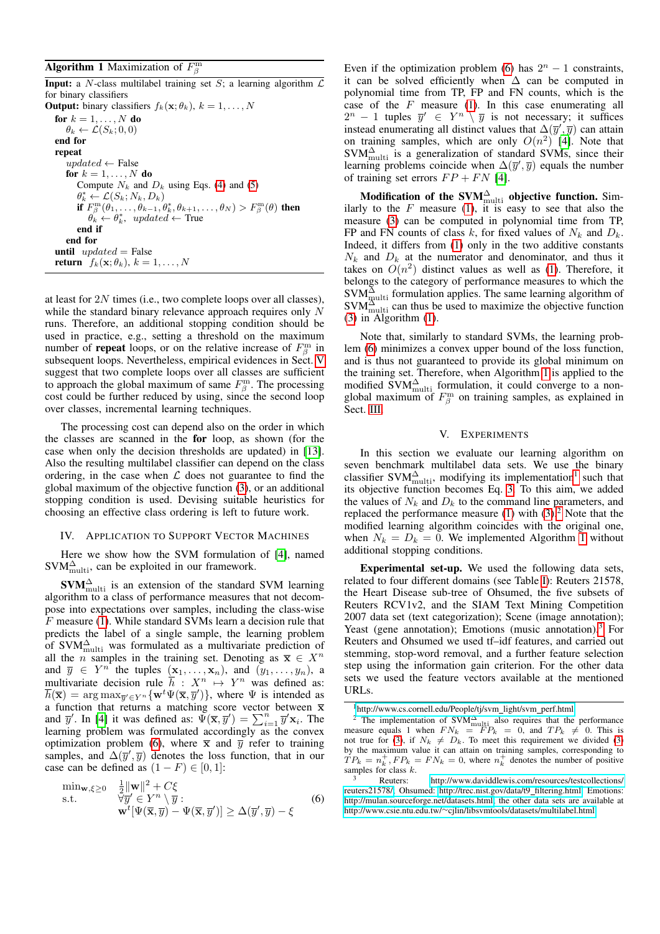## <span id="page-2-2"></span>**Algorithm 1** Maximization of  $F^{\text{m}}_{\beta}$

**Input:** a N-class multilabel training set S; a learning algorithm  $\mathcal{L}$ for binary classifiers **Output:** binary classifiers  $f_k(\mathbf{x}; \theta_k)$ ,  $k = 1, ..., N$ for  $k = 1, \ldots, N$  do  $\theta_k \leftarrow \mathcal{L}(S_k; 0, 0)$ end for repeat  $updated \leftarrow$  False for  $k = 1, \ldots, N$  do Compute  $N_k$  and  $D_k$  using Eqs. [\(4\)](#page-1-3) and [\(5\)](#page-1-3)  $\theta_k^* \leftarrow \mathcal{L}(S_k; N_k, D_k)$ if  $F_\beta^{\rm m}(\theta_1,\ldots,\theta_{k-1},\theta_k^*,\theta_{k+1},\ldots,\theta_N) > F_\beta^{\rm m}(\theta)$  then  $\theta_k \leftarrow \theta_k^*$ , updated  $\leftarrow$  True end if end for until  $updated = False$ **return**  $f_k(\mathbf{x}; \theta_k)$ ,  $k = 1, \dots, N$ 

at least for 2N times (i.e., two complete loops over all classes), while the standard binary relevance approach requires only N runs. Therefore, an additional stopping condition should be used in practice, e.g., setting a threshold on the maximum number of **repeat** loops, or on the relative increase of  $F^{\text{m}}_{\beta}$  in subsequent loops. Nevertheless, empirical evidences in Sect. [V](#page-2-1) suggest that two complete loops over all classes are sufficient to approach the global maximum of same  $F^{\text{m}}_{\beta}$ . The processing cost could be further reduced by using, since the second loop over classes, incremental learning techniques.

The processing cost can depend also on the order in which the classes are scanned in the for loop, as shown (for the case when only the decision thresholds are updated) in [\[13\]](#page-4-12). Also the resulting multilabel classifier can depend on the class ordering, in the case when  $\mathcal L$  does not guarantee to find the global maximum of the objective function [\(3\)](#page-1-2), or an additional stopping condition is used. Devising suitable heuristics for choosing an effective class ordering is left to future work.

#### <span id="page-2-0"></span>IV. APPLICATION TO SUPPORT VECTOR MACHINES

Here we show how the SVM formulation of [\[4\]](#page-4-3), named  $\text{SVM}_{\text{multi}}^{\Delta}$ , can be exploited in our framework.

 $\text{SVM}_{\text{multi}}^{\Delta}$  is an extension of the standard SVM learning algorithm to a class of performance measures that not decompose into expectations over samples, including the class-wise F measure [\(1\)](#page-0-2). While standard SVMs learn a decision rule that predicts the label of a single sample, the learning problem of SVM $_{\text{multi}}^{\Delta}$  was formulated as a multivariate prediction of all the *n* samples in the training set. Denoting as  $\overline{x} \in X^n$ and  $\overline{y} \in Y^n$  the tuples  $(x_1, \ldots, x_n)$ , and  $(y_1, \ldots, y_n)$ , a multivariate decision rule  $\bar{h}$  :  $X^n \mapsto Y^n$  was defined as:  $\overline{h}(\overline{\mathbf{x}}) = \arg \max_{\overline{y}' \in Y^n} \{ \mathbf{w}^t \Psi(\overline{\mathbf{x}}, \overline{y}') \},$  where  $\Psi$  is intended as a function that returns a matching score vector between  $\overline{x}$ and  $\overline{y}'$ . In [\[4\]](#page-4-3) it was defined as:  $\Psi(\overline{\mathbf{x}}, \overline{y}') = \sum_{i=1}^{n} \overline{y}' \mathbf{x}_i$ . The learning problem was formulated accordingly as the convex optimization problem [\(6\)](#page-2-3), where  $\bar{x}$  and  $\bar{y}$  refer to training samples, and  $\Delta(\bar{y}', \bar{y})$  denotes the loss function, that in our case can be defined as  $(1 - F) \in [0, 1]$ :

<span id="page-2-3"></span>
$$
\min_{\mathbf{w}, \xi \ge 0} \quad \frac{\frac{1}{2} \|\mathbf{w}\|^2 + C\xi}{\sqrt[3]{y'} \in Y^n \setminus \overline{y} : \mathbf{w}^t [\Psi(\overline{\mathbf{x}}, \overline{y}) - \Psi(\overline{\mathbf{x}}, \overline{y}')] \ge \Delta(\overline{y}', \overline{y}) - \xi
$$
\n(6)

Even if the optimization problem [\(6\)](#page-2-3) has  $2^n - 1$  constraints, it can be solved efficiently when  $\Delta$  can be computed in polynomial time from TP, FP and FN counts, which is the case of the  $F$  measure [\(1\)](#page-0-2). In this case enumerating all  $2^n - 1$  tuples  $\overline{y}' \in Y^n \setminus \overline{y}$  is not necessary; it suffices instead enumerating all distinct values that  $\Delta(\overline{y}', \overline{y})$  can attain on training samples, which are only  $O(n^2)$  [\[4\]](#page-4-3). Note that  $SVM_{\text{multi}}^{\Delta}$  is a generalization of standard SVMs, since their learning problems coincide when  $\Delta(\bar{y}', \bar{y})$  equals the number of training set errors  $FP + FN$  [\[4\]](#page-4-3).

Modification of the SVM $_{\rm multi}^{\Delta}$  objective function. Similarly to the  $F$  measure [\(1\)](#page-0-2), it is easy to see that also the measure [\(3\)](#page-1-2) can be computed in polynomial time from TP, FP and FN counts of class k, for fixed values of  $N_k$  and  $D_k$ . Indeed, it differs from [\(1\)](#page-0-2) only in the two additive constants  $N_k$  and  $D_k$  at the numerator and denominator, and thus it takes on  $O(n^2)$  distinct values as well as [\(1\)](#page-0-2). Therefore, it belongs to the category of performance measures to which the  $\text{SVM}_{\text{multi}}^{\Delta}$  formulation applies. The same learning algorithm of  $\text{SVM}_{\text{multi}}^{\text{3}}$  can thus be used to maximize the objective function [\(3\)](#page-1-2) in Algorithm [\(1\)](#page-2-2).

Note that, similarly to standard SVMs, the learning problem [\(6\)](#page-2-3) minimizes a convex upper bound of the loss function, and is thus not guaranteed to provide its global minimum on the training set. Therefore, when Algorithm [1](#page-2-2) is applied to the modified  $\text{SVM}_{\text{multi}}^{\Delta}$  formulation, it could converge to a nonglobal maximum of  $F_\beta^{\text{m}}$  on training samples, as explained in Sect. [III.](#page-1-0)

#### V. EXPERIMENTS

<span id="page-2-1"></span>In this section we evaluate our learning algorithm on seven benchmark multilabel data sets. We use the binary classifier SVM $_{\text{multi}}^{\Delta}$ , modifying its implementation<sup>[1](#page-2-4)</sup> such that its objective function becomes Eq. [3.](#page-1-2) To this aim, we added the values of  $N_k$  and  $D_k$  to the command line parameters, and replaced the performance measure  $(1)$  with  $(3)$ .<sup>[2](#page-2-5)</sup> Note that the modified learning algorithm coincides with the original one, when  $N_k = D_k = 0$ . We implemented Algorithm [1](#page-2-2) without additional stopping conditions.

Experimental set-up. We used the following data sets, related to four different domains (see Table [I\)](#page-3-1): Reuters 21578, the Heart Disease sub-tree of Ohsumed, the five subsets of Reuters RCV1v2, and the SIAM Text Mining Competition 2007 data set (text categorization); Scene (image annotation); Yeast (gene annotation); Emotions (music annotation).<sup>[3](#page-2-6)</sup> For Reuters and Ohsumed we used tf–idf features, and carried out stemming, stop-word removal, and a further feature selection step using the information gain criterion. For the other data sets we used the feature vectors available at the mentioned URLs.

<span id="page-2-5"></span><span id="page-2-4"></span><sup>&</sup>lt;sup>1</sup>[http://www.cs.cornell.edu/People/tj/svm](http://www.cs.cornell.edu/People/tj/svm_light/svm_perf.html)\_light/svm\_perf.html

<sup>&</sup>lt;sup>2</sup> The implementation of SVM<sup> $\triangle$ </sup><sub>multi</sub> also requires that the performance measure equals 1 when  $FN_k = FP_k = 0$ , and  $TP_k \neq 0$ . This is not true for [\(3\)](#page-1-2), if  $N_k \neq D_k$ . To meet this requirement we divided (3) by the maximum value it can attain on training samples, corresponding to  $TP_k = n_k^+, FP_k = FN_k = 0$ , where  $n_k^+$  denotes the number of positive samples for class  $k$ .

<span id="page-2-6"></span><sup>&</sup>lt;sup>3</sup> Reuters: [http://www.daviddlewis.com/resources/testcollections/](http://www.daviddlewis.com/resources/testcollections/reuters21578/) [reuters21578/;](http://www.daviddlewis.com/resources/testcollections/reuters21578/) Ohsumed: [http://trec.nist.gov/data/t9](http://trec.nist.gov/data/t9_filtering.html)\_filtering.html; Emotions: [http://mulan.sourceforge.net/datasets.html;](http://mulan.sourceforge.net/datasets.html) the other data sets are available at http://www.csie.ntu.edu.tw/∼[cjlin/libsvmtools/datasets/multilabel.html.](http://www.csie.ntu.edu.tw/~cjlin/libsvmtools/datasets/multilabel.html)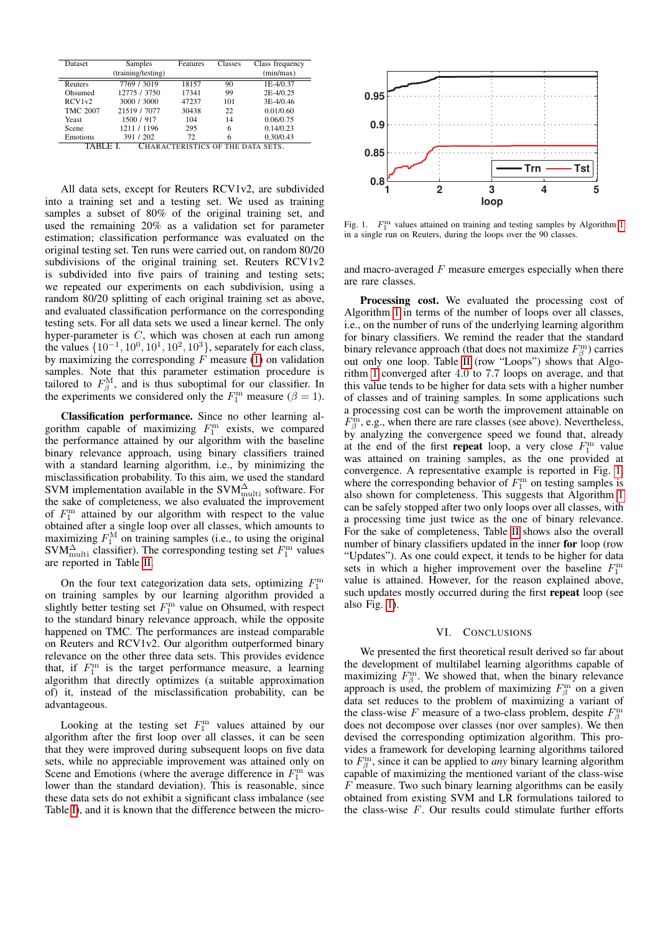| Dataset                          | Samples<br>(training/testing) | Features<br>Classes |     | Class frequency<br>(min/max) |  |  |  |
|----------------------------------|-------------------------------|---------------------|-----|------------------------------|--|--|--|
| Reuters                          | 7769 / 3019                   | 18157               | 90  | 1E-4/0.37                    |  |  |  |
| Ohsumed                          | 12775 / 3750                  | 17341               | 99  | 2E-4/0.25                    |  |  |  |
| RCV1v2                           | 3000 / 3000                   | 47237               | 101 | 3E-4/0.46                    |  |  |  |
| <b>TMC 2007</b>                  | 21519 / 7077                  | 30438               | 22  | 0.01/0.60                    |  |  |  |
| Yeast                            | 1500 / 917                    | 104                 | 14  | 0.06/0.75                    |  |  |  |
| Scene                            | 1211 / 1196                   | 295                 | 6   | 0.14/0.23                    |  |  |  |
| Emotions                         | 391 / 202                     | 72                  | 6   | 0.30/0.43                    |  |  |  |
| HARACTERISTICS OF THE DATA SETS. |                               |                     |     |                              |  |  |  |

<span id="page-3-1"></span>All data sets, except for Reuters RCV1v2, are subdivided into a training set and a testing set. We used as training samples a subset of 80% of the original training set, and used the remaining 20% as a validation set for parameter estimation; classification performance was evaluated on the original testing set. Ten runs were carried out, on random 80/20 subdivisions of the original training set. Reuters RCV1v2 is subdivided into five pairs of training and testing sets; we repeated our experiments on each subdivision, using a random 80/20 splitting of each original training set as above, and evaluated classification performance on the corresponding testing sets. For all data sets we used a linear kernel. The only hyper-parameter is  $C$ , which was chosen at each run among the values  $\{10^{-1}, 10^{0}, 10^{1}, 10^{2}, 10^{3}\}$ , separately for each class, by maximizing the corresponding  $F$  measure [\(1\)](#page-0-2) on validation samples. Note that this parameter estimation procedure is tailored to  $F^{\text{M}}_{\beta}$ , and is thus suboptimal for our classifier. In the experiments we considered only the  $F_1^{\text{m}}$  measure ( $\beta = 1$ ).

Classification performance. Since no other learning algorithm capable of maximizing  $F_1^{\text{m}}$  exists, we compared the performance attained by our algorithm with the baseline binary relevance approach, using binary classifiers trained with a standard learning algorithm, i.e., by minimizing the misclassification probability. To this aim, we used the standard SVM implementation available in the SVM $_{\text{multi}}^{\Delta}$  software. For the sake of completeness, we also evaluated the improvement of  $F_1^{\text{m}}$  attained by our algorithm with respect to the value obtained after a single loop over all classes, which amounts to maximizing  $F_1^M$  on training samples (i.e., to using the original  $\text{SVM}_{\text{multi}}^{\Delta}$  classifier). The corresponding testing set  $F_1^{\text{m}}$  values are reported in Table [II.](#page-4-16)

On the four text categorization data sets, optimizing  $F_1^{\text{m}}$ on training samples by our learning algorithm provided a slightly better testing set  $F_1^{\text{m}}$  value on Ohsumed, with respect to the standard binary relevance approach, while the opposite happened on TMC. The performances are instead comparable on Reuters and RCV1v2. Our algorithm outperformed binary relevance on the other three data sets. This provides evidence that, if  $F_1^m$  is the target performance measure, a learning algorithm that directly optimizes (a suitable approximation of) it, instead of the misclassification probability, can be advantageous.

Looking at the testing set  $F_1^{\text{m}}$  values attained by our algorithm after the first loop over all classes, it can be seen that they were improved during subsequent loops on five data sets, while no appreciable improvement was attained only on Scene and Emotions (where the average difference in  $F_1^{\text{m}}$  was lower than the standard deviation). This is reasonable, since these data sets do not exhibit a significant class imbalance (see Table [I\)](#page-3-1), and it is known that the difference between the micro-



<span id="page-3-2"></span>Fig. [1](#page-2-2).  $F_1^m$  values attained on training and testing samples by Algorithm 1 in a single run on Reuters, during the loops over the 90 classes.

and macro-averaged  $F$  measure emerges especially when there are rare classes.

Processing cost. We evaluated the processing cost of Algorithm [1](#page-2-2) in terms of the number of loops over all classes, i.e., on the number of runs of the underlying learning algorithm for binary classifiers. We remind the reader that the standard binary relevance approach (that does not maximize  $F_\beta^{\text{m}}$ ) carries out only one loop. Table [II](#page-4-16) (row "Loops") shows that Algorithm [1](#page-2-2) converged after 4.0 to 7.7 loops on average, and that this value tends to be higher for data sets with a higher number of classes and of training samples. In some applications such a processing cost can be worth the improvement attainable on  $F_{\beta}^{\text{in}}$ , e.g., when there are rare classes (see above). Nevertheless, by analyzing the convergence speed we found that, already at the end of the first **repeat** loop, a very close  $F_1^m$  value was attained on training samples, as the one provided at convergence. A representative example is reported in Fig. [1,](#page-3-2) where the corresponding behavior of  $F_1^{\text{m}}$  on testing samples is also shown for completeness. This suggests that Algorithm [1](#page-2-2) can be safely stopped after two only loops over all classes, with a processing time just twice as the one of binary relevance. For the sake of completeness, Table [II](#page-4-16) shows also the overall number of binary classifiers updated in the inner for loop (row "Updates"). As one could expect, it tends to be higher for data sets in which a higher improvement over the baseline  $F_1^{\text{m}}$ value is attained. However, for the reason explained above, such updates mostly occurred during the first repeat loop (see also Fig. [1\)](#page-3-2).

#### VI. CONCLUSIONS

<span id="page-3-0"></span>We presented the first theoretical result derived so far about the development of multilabel learning algorithms capable of maximizing  $F^{\text{m}}_{\beta}$ . We showed that, when the binary relevance approach is used, the problem of maximizing  $F_\beta^{\text{m}}$  on a given data set reduces to the problem of maximizing a variant of the class-wise F measure of a two-class problem, despite  $F^{\text{m}}_{\beta}$ does not decompose over classes (nor over samples). We then devised the corresponding optimization algorithm. This provides a framework for developing learning algorithms tailored to  $F_\beta^{\rm m}$ , since it can be applied to *any* binary learning algorithm capable of maximizing the mentioned variant of the class-wise  $F$  measure. Two such binary learning algorithms can be easily obtained from existing SVM and LR formulations tailored to the class-wise  $F$ . Our results could stimulate further efforts